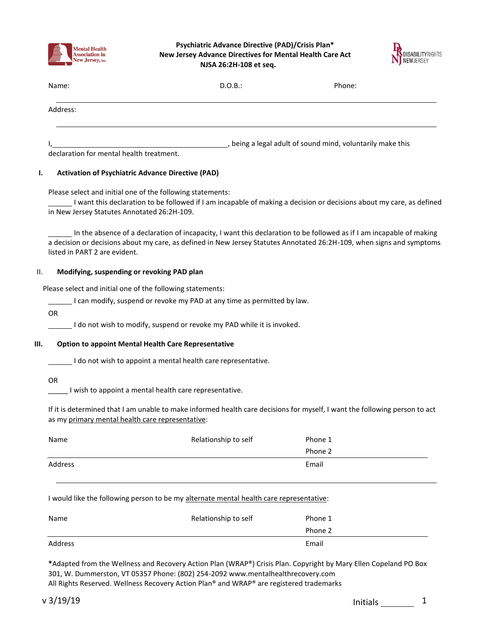

**Psychiatric Advance Directive (PAD)/Crisis Plan\* New Jersey Advance Directives for Mental Health Care Act NJSA 26:2H-108 et seq.**



| Name:    | D.O.B.:                                                  | Phone: |
|----------|----------------------------------------------------------|--------|
| Address: |                                                          |        |
|          | being a legal adult of sound mind, voluntarily make this |        |

declaration for mental health treatment.

# **I. Activation of Psychiatric Advance Directive (PAD)**

Please select and initial one of the following statements:

I want this declaration to be followed if I am incapable of making a decision or decisions about my care, as defined in New Jersey Statutes Annotated 26:2H-109.

In the absence of a declaration of incapacity, I want this declaration to be followed as if I am incapable of making a decision or decisions about my care, as defined in New Jersey Statutes Annotated 26:2H-109, when signs and symptoms listed in PART 2 are evident.

## II. **Modifying, suspending or revoking PAD plan**

Please select and initial one of the following statements:

I can modify, suspend or revoke my PAD at any time as permitted by law.

OR

I do not wish to modify, suspend or revoke my PAD while it is invoked.

#### **III. Option to appoint Mental Health Care Representative**

I do not wish to appoint a mental health care representative.

OR

I wish to appoint a mental health care representative.

If it is determined that I am unable to make informed health care decisions for myself, I want the following person to act as my primary mental health care representative:

| Name    | Relationship to self | Phone 1 |
|---------|----------------------|---------|
|         |                      | Phone 2 |
| Address |                      | Email   |

#### I would like the following person to be my alternate mental health care representative:

| Name    | Relationship to self | Phone 1 |
|---------|----------------------|---------|
|         |                      | Phone 2 |
| Address |                      | Email   |

**\***Adapted from the Wellness and Recovery Action Plan (WRAP®) Crisis Plan. Copyright by Mary Ellen Copeland PO Box 301, W. Dummerston, VT 05357 Phone: (802) 254-209[2 www.mentalhealthrecovery.com](http://www.mentalhealthrecovery.com/) All Rights Reserved. Wellness Recovery Action Plan® and WRAP® are registered trademarks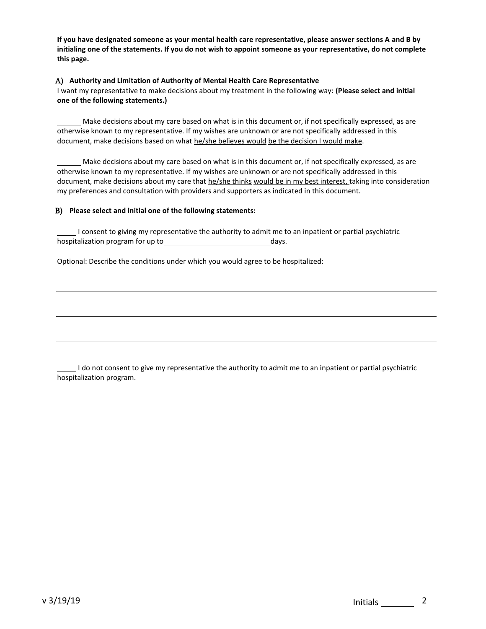**If you have designated someone as your mental health care representative, please answer sections A and B by initialing one of the statements. If you do not wish to appoint someone as your representative, do not complete this page.**

#### A) **Authority and Limitation of Authority of Mental Health Care Representative**

I want my representative to make decisions about my treatment in the following way: **(Please select and initial one of the following statements.)**

Make decisions about my care based on what is in this document or, if not specifically expressed, as are otherwise known to my representative. If my wishes are unknown or are not specifically addressed in this document, make decisions based on what he/she believes would be the decision I would make.

Make decisions about my care based on what is in this document or, if not specifically expressed, as are otherwise known to my representative. If my wishes are unknown or are not specifically addressed in this document, make decisions about my care that he/she thinks would be in my best interest, taking into consideration my preferences and consultation with providers and supporters as indicated in this document.

#### B) **Please select and initial one of the following statements:**

I consent to giving my representative the authority to admit me to an inpatient or partial psychiatric hospitalization program for up to days.

Optional: Describe the conditions under which you would agree to be hospitalized:

I do not consent to give my representative the authority to admit me to an inpatient or partial psychiatric hospitalization program.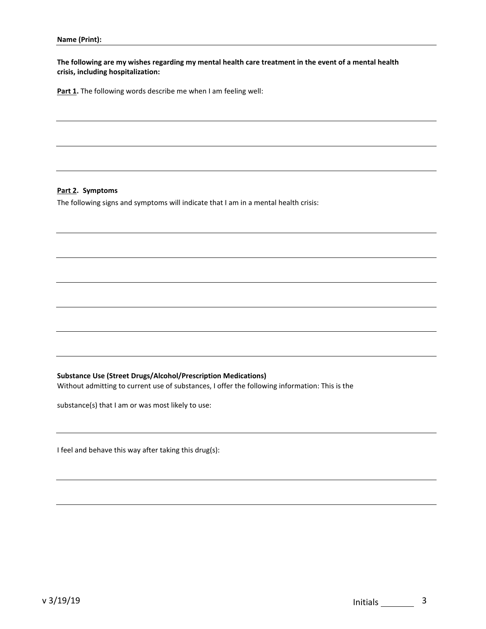**The following are my wishes regarding my mental health care treatment in the event of a mental health crisis, including hospitalization:**

Part 1. The following words describe me when I am feeling well:

#### **Part 2. Symptoms**

The following signs and symptoms will indicate that I am in a mental health crisis:

## **Substance Use (Street Drugs/Alcohol/Prescription Medications)**

Without admitting to current use of substances, I offer the following information: This is the

substance(s) that I am or was most likely to use:

I feel and behave this way after taking this drug(s):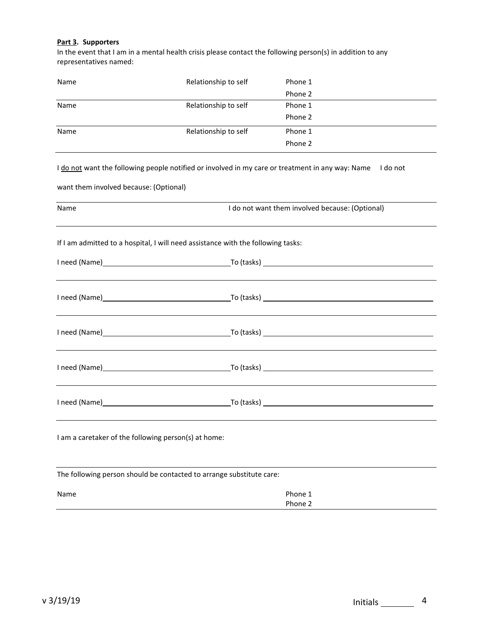## **Part 3. Supporters**

In the event that I am in a mental health crisis please contact the following person(s) in addition to any representatives named:

| Name                                                 | Relationship to self                                                                             | Phone 1                             |
|------------------------------------------------------|--------------------------------------------------------------------------------------------------|-------------------------------------|
|                                                      |                                                                                                  | Phone 2                             |
| Name                                                 | Relationship to self                                                                             | Phone 1                             |
|                                                      |                                                                                                  | Phone 2                             |
| Name                                                 | Relationship to self                                                                             | Phone 1                             |
|                                                      |                                                                                                  | Phone 2                             |
|                                                      | I do not want the following people notified or involved in my care or treatment in any way: Name | I do not                            |
| want them involved because: (Optional)               |                                                                                                  |                                     |
| Name                                                 | I do not want them involved because: (Optional)                                                  |                                     |
|                                                      | If I am admitted to a hospital, I will need assistance with the following tasks:                 |                                     |
|                                                      |                                                                                                  |                                     |
|                                                      |                                                                                                  |                                     |
|                                                      |                                                                                                  |                                     |
|                                                      |                                                                                                  |                                     |
|                                                      |                                                                                                  |                                     |
|                                                      |                                                                                                  | I need (Name) To (tasks) To (tasks) |
| I am a caretaker of the following person(s) at home: |                                                                                                  |                                     |
|                                                      | The following person should be contacted to arrange substitute care:                             |                                     |
| Name                                                 |                                                                                                  | Phone 1                             |
|                                                      |                                                                                                  | Phone 2                             |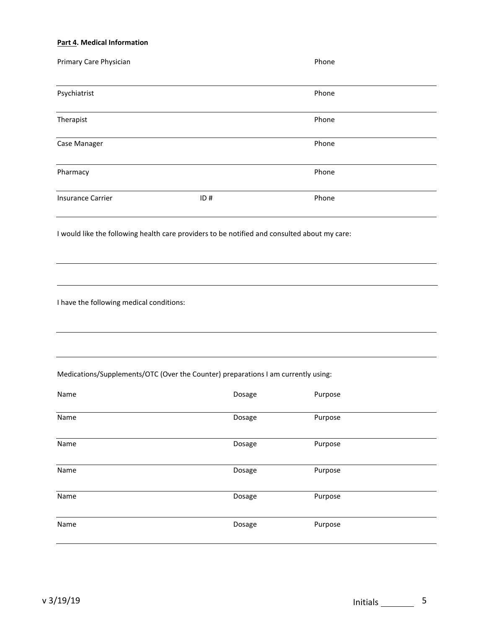#### **Part 4. Medical Information**

| Primary Care Physician                                                                       |     | Phone |  |
|----------------------------------------------------------------------------------------------|-----|-------|--|
| Psychiatrist                                                                                 |     | Phone |  |
| Therapist                                                                                    |     | Phone |  |
| Case Manager                                                                                 |     | Phone |  |
| Pharmacy                                                                                     |     | Phone |  |
| <b>Insurance Carrier</b>                                                                     | ID# | Phone |  |
| I would like the following health care providers to be notified and consulted about my care: |     |       |  |
| I have the following medical conditions:                                                     |     |       |  |

# Medications/Supplements/OTC (Over the Counter) preparations I am currently using:

| Name | Dosage | Purpose |
|------|--------|---------|
| Name | Dosage | Purpose |
| Name | Dosage | Purpose |
| Name | Dosage | Purpose |
| Name | Dosage | Purpose |
| Name | Dosage | Purpose |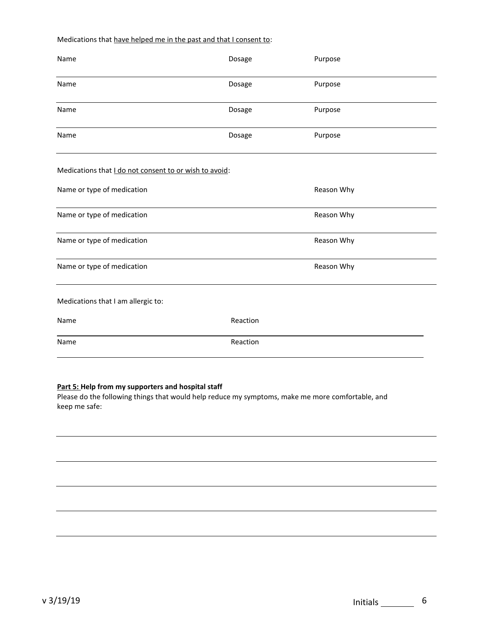## Medications that have helped me in the past and that I consent to:

| Name                                                   | Dosage   | Purpose    |
|--------------------------------------------------------|----------|------------|
| Name                                                   | Dosage   | Purpose    |
| Name                                                   | Dosage   | Purpose    |
| Name                                                   | Dosage   | Purpose    |
| Medications that I do not consent to or wish to avoid: |          |            |
| Name or type of medication                             |          | Reason Why |
| Name or type of medication                             |          | Reason Why |
| Name or type of medication                             |          | Reason Why |
| Name or type of medication                             |          | Reason Why |
| Medications that I am allergic to:                     |          |            |
| Name                                                   | Reaction |            |
| Name                                                   | Reaction |            |

## **Part 5: Help from my supporters and hospital staff**

Please do the following things that would help reduce my symptoms, make me more comfortable, and keep me safe: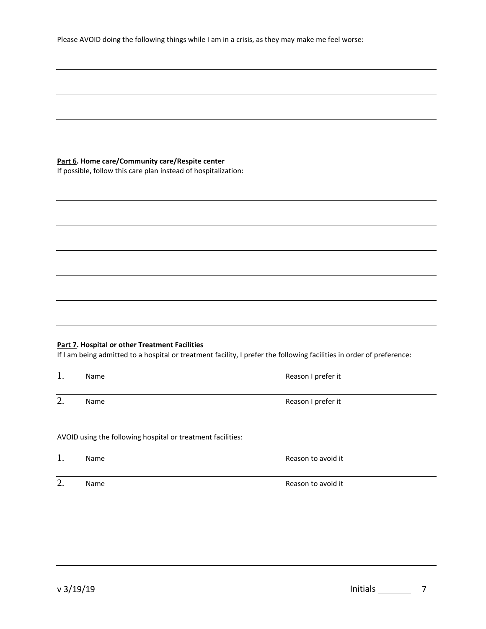# **Part 6. Home care/Community care/Respite center**

If possible, follow this care plan instead of hospitalization:

# **Part 7. Hospital or other Treatment Facilities**

If I am being admitted to a hospital or treatment facility, I prefer the following facilities in order of preference:

| 1.      | Name | Reason I prefer it |
|---------|------|--------------------|
| ി<br>z. | Name | Reason I prefer it |

AVOID using the following hospital or treatment facilities:

|   | Name | Reason to avoid it |
|---|------|--------------------|
| ി | Name | Reason to avoid it |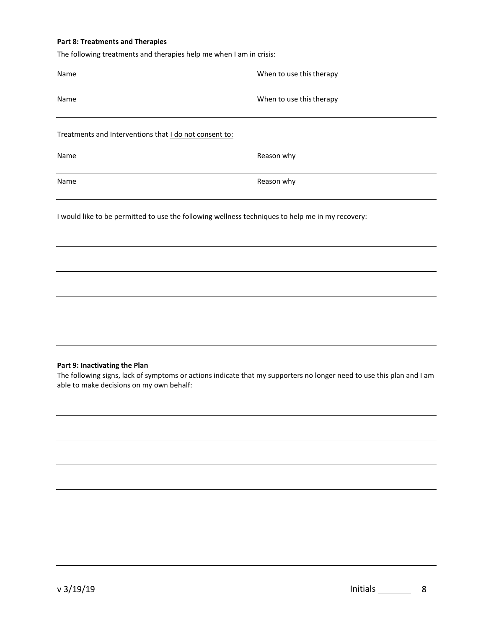#### **Part 8: Treatments and Therapies**

The following treatments and therapies help me when I am in crisis:

| Name                                                   | When to use this therapy                                                                         |
|--------------------------------------------------------|--------------------------------------------------------------------------------------------------|
| Name                                                   | When to use this therapy                                                                         |
| Treatments and Interventions that I do not consent to: |                                                                                                  |
| Name                                                   | Reason why                                                                                       |
| Name                                                   | Reason why                                                                                       |
|                                                        | I would like to be permitted to use the following wellness techniques to help me in my recovery: |
|                                                        |                                                                                                  |
|                                                        |                                                                                                  |
|                                                        |                                                                                                  |
|                                                        |                                                                                                  |

#### **Part 9: Inactivating the Plan**

The following signs, lack of symptoms or actions indicate that my supporters no longer need to use this plan and I am able to make decisions on my own behalf: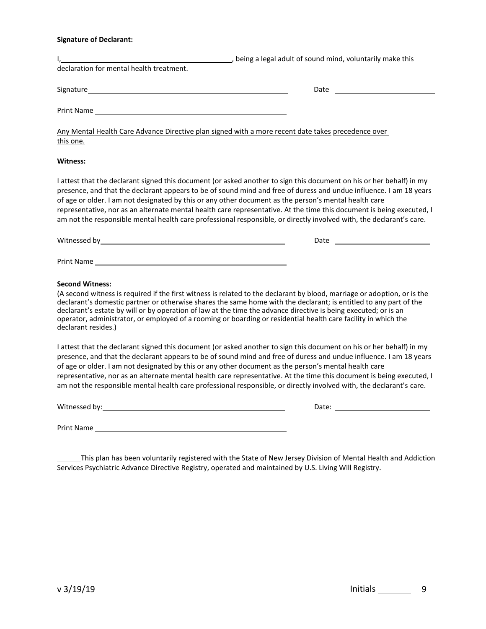## **Signature of Declarant:**

|                                                                                                                                                                                                                               | being a legal adult of sound mind, voluntarily make this                                                                                                                                                                                                                                                                                                                                                                                                                                    |
|-------------------------------------------------------------------------------------------------------------------------------------------------------------------------------------------------------------------------------|---------------------------------------------------------------------------------------------------------------------------------------------------------------------------------------------------------------------------------------------------------------------------------------------------------------------------------------------------------------------------------------------------------------------------------------------------------------------------------------------|
| declaration for mental health treatment.                                                                                                                                                                                      |                                                                                                                                                                                                                                                                                                                                                                                                                                                                                             |
|                                                                                                                                                                                                                               | Date and the contract of the contract of the contract of the contract of the contract of the contract of the contract of the contract of the contract of the contract of the contract of the contract of the contract of the c                                                                                                                                                                                                                                                              |
|                                                                                                                                                                                                                               |                                                                                                                                                                                                                                                                                                                                                                                                                                                                                             |
| Any Mental Health Care Advance Directive plan signed with a more recent date takes precedence over<br>this one.                                                                                                               |                                                                                                                                                                                                                                                                                                                                                                                                                                                                                             |
| Witness:                                                                                                                                                                                                                      |                                                                                                                                                                                                                                                                                                                                                                                                                                                                                             |
| of age or older. I am not designated by this or any other document as the person's mental health care                                                                                                                         | I attest that the declarant signed this document (or asked another to sign this document on his or her behalf) in my<br>presence, and that the declarant appears to be of sound mind and free of duress and undue influence. I am 18 years<br>representative, nor as an alternate mental health care representative. At the time this document is being executed, I<br>am not the responsible mental health care professional responsible, or directly involved with, the declarant's care. |
|                                                                                                                                                                                                                               |                                                                                                                                                                                                                                                                                                                                                                                                                                                                                             |
|                                                                                                                                                                                                                               |                                                                                                                                                                                                                                                                                                                                                                                                                                                                                             |
| <b>Second Witness:</b><br>declarant's estate by will or by operation of law at the time the advance directive is being executed; or is an<br>declarant resides.)                                                              | (A second witness is required if the first witness is related to the declarant by blood, marriage or adoption, or is the<br>declarant's domestic partner or otherwise shares the same home with the declarant; is entitled to any part of the<br>operator, administrator, or employed of a rooming or boarding or residential health care facility in which the                                                                                                                             |
| of age or older. I am not designated by this or any other document as the person's mental health care                                                                                                                         | I attest that the declarant signed this document (or asked another to sign this document on his or her behalf) in my<br>presence, and that the declarant appears to be of sound mind and free of duress and undue influence. I am 18 years<br>representative, nor as an alternate mental health care representative. At the time this document is being executed, I<br>am not the responsible mental health care professional responsible, or directly involved with, the declarant's care. |
| Witnessed by: The contract of the contract of the contract of the contract of the contract of the contract of the contract of the contract of the contract of the contract of the contract of the contract of the contract of |                                                                                                                                                                                                                                                                                                                                                                                                                                                                                             |
| Print Name                                                                                                                                                                                                                    |                                                                                                                                                                                                                                                                                                                                                                                                                                                                                             |

This plan has been voluntarily registered with the State of New Jersey Division of Mental Health and Addiction Services Psychiatric Advance Directive Registry, operated and maintained by U.S. Living Will Registry.

v 3/19/19 **Initials** 9